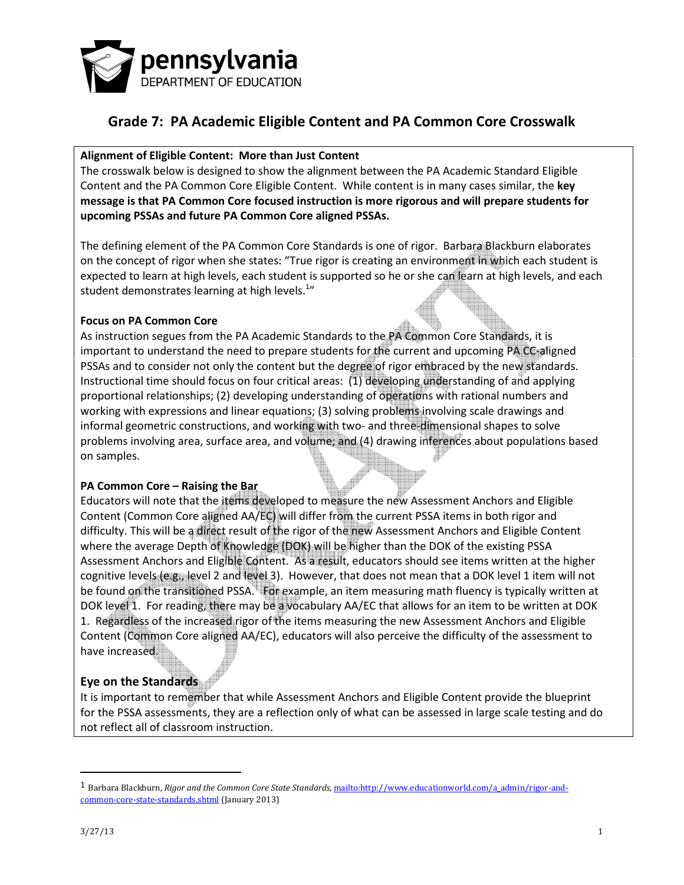

#### Alignment of Eligible Content: More than Just Content

The crosswalk below is designed to show the alignment between the PA Academic Standard Eligible Content and the PA Common Core Eligible Content. While content is in many cases similar, the key message is that PA Common Core focused instruction is more rigorous and will prepare students for upcoming PSSAs and future PA Common Core aligned PSSAs.

The defining element of the PA Common Core Standards is one of rigor. Barbara Blackburn elaborates on the concept of rigor when she states: "True rigor is creating an environment in which each student is expected to learn at high levels, each student is supported so he or she can learn at high levels, and each student demonstrates learning at high levels. $^{1n}$ 

#### Focus on PA Common Core

As instruction segues from the PA Academic Standards to the PA Common Core Standards, it is important to understand the need to prepare students for the current and upcoming PA CC-aligned PSSAs and to consider not only the content but the degree of rigor embraced by the new standards. Instructional time should focus on four critical areas: (1) developing understanding of and applying proportional relationships; (2) developing understanding of operations with rational numbers and working with expressions and linear equations; (3) solving problems involving scale drawings and informal geometric constructions, and working with two- and three-dimensional shapes to solve problems involving area, surface area, and volume; and (4) drawing inferences about populations based on samples.

#### PA Common Core – Raising the Bar

Educators will note that the items developed to measure the new Assessment Anchors and Eligible Content (Common Core aligned AA/EC) will differ from the current PSSA items in both rigor and difficulty. This will be a direct result of the rigor of the new Assessment Anchors and Eligible Content where the average Depth of Knowledge (DOK) will be higher than the DOK of the existing PSSA Assessment Anchors and Eligible Content. As a result, educators should see items written at the higher cognitive levels (e.g., level 2 and level 3). However, that does not mean that a DOK level 1 item will not be found on the transitioned PSSA. For example, an item measuring math fluency is typically written at DOK level 1. For reading, there may be a vocabulary AA/EC that allows for an item to be written at DOK 1. Regardless of the increased rigor of the items measuring the new Assessment Anchors and Eligible Content (Common Core aligned AA/EC), educators will also perceive the difficulty of the assessment to have increased.

#### Eye on the Standards

It is important to remember that while Assessment Anchors and Eligible Content provide the blueprint for the PSSA assessments, they are a reflection only of what can be assessed in large scale testing and do not reflect all of classroom instruction.

 $\overline{a}$ 

<sup>&</sup>lt;sup>1</sup> Barbara Blackburn, Rigor and the Common Core State Standards, mailto:http://www.educationworld.com/a\_admin/rigor-andcommon-core-state-standards.shtml (January 2013)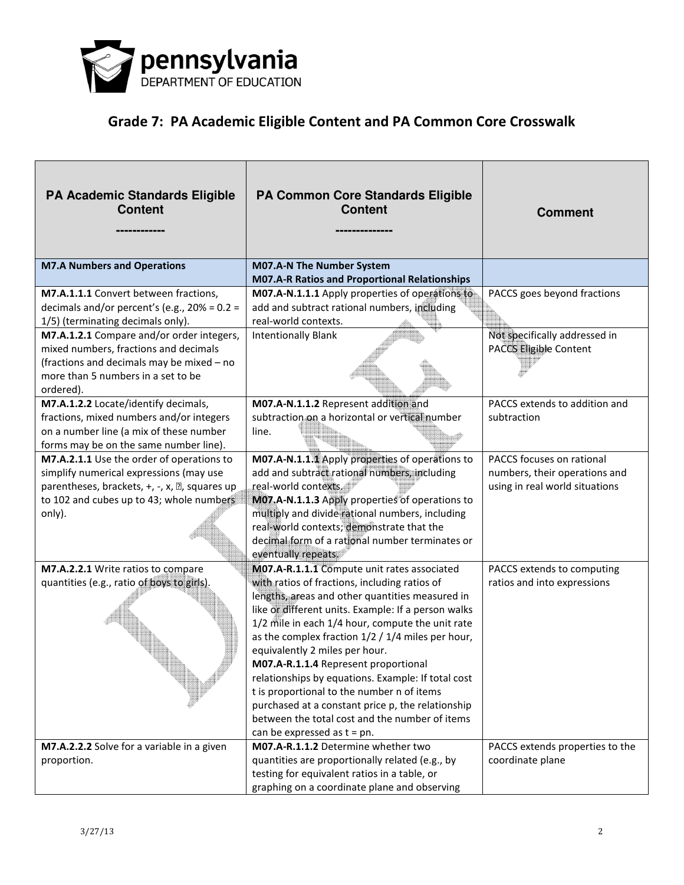

| <b>PA Academic Standards Eligible</b><br><b>Content</b>                        | <b>PA Common Core Standards Eligible</b><br><b>Content</b>                                              | <b>Comment</b>                  |
|--------------------------------------------------------------------------------|---------------------------------------------------------------------------------------------------------|---------------------------------|
| <b>M7.A Numbers and Operations</b>                                             | M07.A-N The Number System                                                                               |                                 |
| M7.A.1.1.1 Convert between fractions,                                          | <b>M07.A-R Ratios and Proportional Relationships</b><br>M07.A-N.1.1.1 Apply properties of operations to | PACCS goes beyond fractions     |
|                                                                                |                                                                                                         |                                 |
| decimals and/or percent's (e.g., $20\% = 0.2 =$                                | add and subtract rational numbers, including<br>real-world contexts.                                    |                                 |
| 1/5) (terminating decimals only).<br>M7.A.1.2.1 Compare and/or order integers, | <b>Intentionally Blank</b>                                                                              | Not specifically addressed in   |
| mixed numbers, fractions and decimals                                          |                                                                                                         | PACCS Eligible Content          |
| (fractions and decimals may be mixed - no                                      |                                                                                                         |                                 |
| more than 5 numbers in a set to be                                             |                                                                                                         |                                 |
| ordered).                                                                      |                                                                                                         |                                 |
| M7.A.1.2.2 Locate/identify decimals,                                           | M07.A-N.1.1.2 Represent addition and                                                                    | PACCS extends to addition and   |
| fractions, mixed numbers and/or integers                                       | subtraction on a horizontal or vertical number                                                          | subtraction                     |
| on a number line (a mix of these number                                        | line.                                                                                                   |                                 |
| forms may be on the same number line).                                         |                                                                                                         |                                 |
| M7.A.2.1.1 Use the order of operations to                                      | M07.A-N.1.1.1 Apply properties of operations to                                                         | PACCS focuses on rational       |
| simplify numerical expressions (may use                                        | add and subtract rational numbers, including                                                            | numbers, their operations and   |
| parentheses, brackets, +, -, x, 2, squares up                                  | real-world contexts.                                                                                    | using in real world situations  |
| to 102 and cubes up to 43; whole numbers                                       | M07.A-N.1.1.3 Apply properties of operations to                                                         |                                 |
| only).                                                                         | multiply and divide rational numbers, including                                                         |                                 |
|                                                                                | real-world contexts; demonstrate that the                                                               |                                 |
|                                                                                | decimal form of a rational number terminates or                                                         |                                 |
|                                                                                | eventually repeats.                                                                                     |                                 |
| M7.A.2.2.1 Write ratios to compare                                             | M07.A-R.1.1.1 Compute unit rates associated                                                             | PACCS extends to computing      |
| quantities (e.g., ratio of boys to girls).                                     | with ratios of fractions, including ratios of                                                           | ratios and into expressions     |
|                                                                                | lengths, areas and other quantities measured in<br>like or different units. Example: If a person walks  |                                 |
|                                                                                | 1/2 mile in each 1/4 hour, compute the unit rate                                                        |                                 |
|                                                                                | as the complex fraction 1/2 / 1/4 miles per hour,                                                       |                                 |
|                                                                                | equivalently 2 miles per hour.                                                                          |                                 |
|                                                                                | M07.A-R.1.1.4 Represent proportional                                                                    |                                 |
|                                                                                | relationships by equations. Example: If total cost                                                      |                                 |
|                                                                                | t is proportional to the number n of items                                                              |                                 |
|                                                                                | purchased at a constant price p, the relationship                                                       |                                 |
|                                                                                | between the total cost and the number of items                                                          |                                 |
|                                                                                | can be expressed as $t = pn$ .                                                                          |                                 |
| M7.A.2.2.2 Solve for a variable in a given                                     | M07.A-R.1.1.2 Determine whether two                                                                     | PACCS extends properties to the |
| proportion.                                                                    | quantities are proportionally related (e.g., by                                                         | coordinate plane                |
|                                                                                | testing for equivalent ratios in a table, or                                                            |                                 |
|                                                                                | graphing on a coordinate plane and observing                                                            |                                 |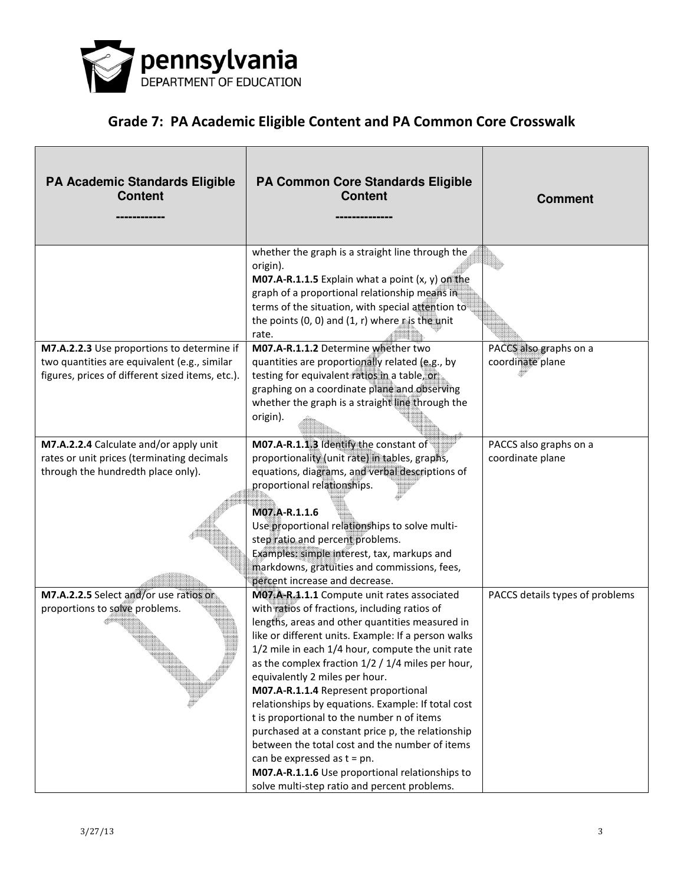

| <b>PA Academic Standards Eligible</b><br><b>Content</b>                                                                                        | <b>PA Common Core Standards Eligible</b><br><b>Content</b>                                                                                                                                                                                                                                                                                                                                                                                                                                                                                                                                                                                                                                                                                    | <b>Comment</b>                             |
|------------------------------------------------------------------------------------------------------------------------------------------------|-----------------------------------------------------------------------------------------------------------------------------------------------------------------------------------------------------------------------------------------------------------------------------------------------------------------------------------------------------------------------------------------------------------------------------------------------------------------------------------------------------------------------------------------------------------------------------------------------------------------------------------------------------------------------------------------------------------------------------------------------|--------------------------------------------|
|                                                                                                                                                | whether the graph is a straight line through the<br>origin).<br>M07.A-R.1.1.5 Explain what a point $(x, y)$ on the<br>graph of a proportional relationship means in<br>terms of the situation, with special attention to<br>the points (0, 0) and (1, r) where $r$ is the unit<br>rate.                                                                                                                                                                                                                                                                                                                                                                                                                                                       |                                            |
| M7.A.2.2.3 Use proportions to determine if<br>two quantities are equivalent (e.g., similar<br>figures, prices of different sized items, etc.). | M07.A-R.1.1.2 Determine whether two<br>quantities are proportionally related (e.g., by<br>testing for equivalent ratios in a table, or<br>graphing on a coordinate plane and observing<br>whether the graph is a straight line through the<br>origin).                                                                                                                                                                                                                                                                                                                                                                                                                                                                                        | PACCS also graphs on a<br>coordinate plane |
| M7.A.2.2.4 Calculate and/or apply unit<br>rates or unit prices (terminating decimals<br>through the hundredth place only).                     | M07.A-R.1.1.3 Identify the constant of<br>proportionality (unit rate) in tables, graphs,<br>equations, diagrams, and verbal descriptions of<br>proportional relationships.<br>M07.A-R.1.1.6<br>Use proportional relationships to solve multi-<br>step ratio and percent problems.<br>Examples: simple interest, tax, markups and<br>markdowns, gratuities and commissions, fees,<br>percent increase and decrease.                                                                                                                                                                                                                                                                                                                            | PACCS also graphs on a<br>coordinate plane |
| M7.A.2.2.5 Select and/or use ratios or<br>proportions to solve problems.                                                                       | MO7.A-R.1.1.1 Compute unit rates associated<br>with ratios of fractions, including ratios of<br>lengths, areas and other quantities measured in<br>like or different units. Example: If a person walks<br>1/2 mile in each 1/4 hour, compute the unit rate<br>as the complex fraction $1/2$ / $1/4$ miles per hour,<br>equivalently 2 miles per hour.<br>M07.A-R.1.1.4 Represent proportional<br>relationships by equations. Example: If total cost<br>t is proportional to the number n of items<br>purchased at a constant price p, the relationship<br>between the total cost and the number of items<br>can be expressed as $t = pn$ .<br>M07.A-R.1.1.6 Use proportional relationships to<br>solve multi-step ratio and percent problems. | PACCS details types of problems            |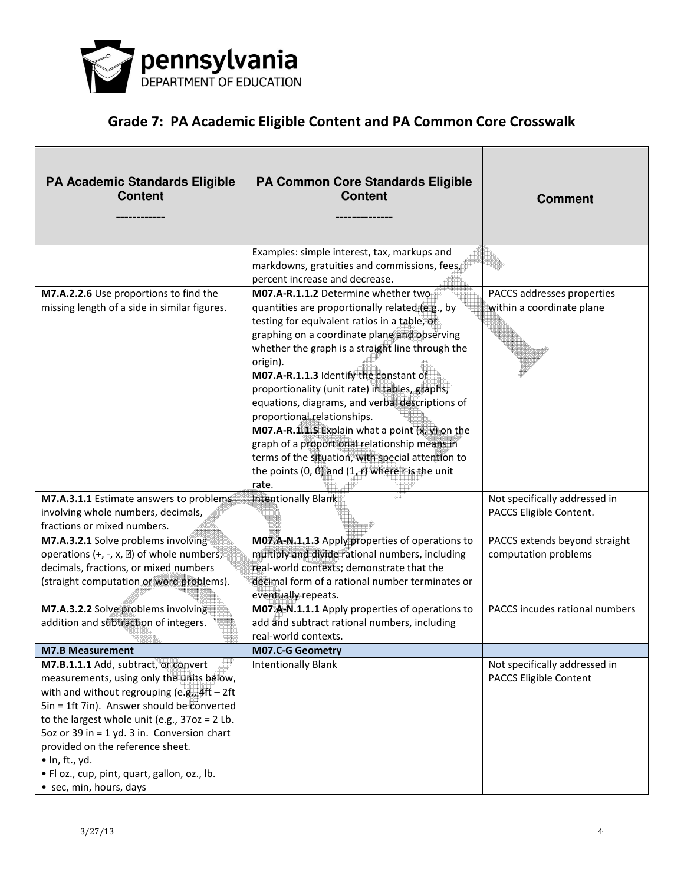

| <b>PA Academic Standards Eligible</b><br><b>Content</b>                                                                                                                                                                                                                                                                                                                                                                        | PA Common Core Standards Eligible<br><b>Content</b>                                                                                                                                                                                                                                                                                                                                                                                                                                                                                                                                                                                                             | <b>Comment</b>                                           |
|--------------------------------------------------------------------------------------------------------------------------------------------------------------------------------------------------------------------------------------------------------------------------------------------------------------------------------------------------------------------------------------------------------------------------------|-----------------------------------------------------------------------------------------------------------------------------------------------------------------------------------------------------------------------------------------------------------------------------------------------------------------------------------------------------------------------------------------------------------------------------------------------------------------------------------------------------------------------------------------------------------------------------------------------------------------------------------------------------------------|----------------------------------------------------------|
|                                                                                                                                                                                                                                                                                                                                                                                                                                | Examples: simple interest, tax, markups and<br>markdowns, gratuities and commissions, fees<br>percent increase and decrease.                                                                                                                                                                                                                                                                                                                                                                                                                                                                                                                                    |                                                          |
| M7.A.2.2.6 Use proportions to find the<br>missing length of a side in similar figures.                                                                                                                                                                                                                                                                                                                                         | M07.A-R.1.1.2 Determine whether two<br>quantities are proportionally related (e.g., by<br>testing for equivalent ratios in a table, or<br>graphing on a coordinate plane and observing<br>whether the graph is a straight line through the<br>origin).<br>M07.A-R.1.1.3 Identify the constant of<br>proportionality (unit rate) in tables, graphs,<br>equations, diagrams, and verbal descriptions of<br>proportional relationships.<br>M07.A-R.1.1.5 Explain what a point $(x, y)$ on the<br>graph of a proportional relationship means in<br>terms of the situation, with special attention to<br>the points (0, 0) and $(1, r)$ where r is the unit<br>rate. | PACCS addresses properties<br>within a coordinate plane  |
| M7.A.3.1.1 Estimate answers to problems<br>involving whole numbers, decimals,<br>fractions or mixed numbers.                                                                                                                                                                                                                                                                                                                   | Intentionally Blank                                                                                                                                                                                                                                                                                                                                                                                                                                                                                                                                                                                                                                             | Not specifically addressed in<br>PACCS Eligible Content. |
| M7.A.3.2.1 Solve problems involving<br>operations (+, -, x, $\mathbb{Z}$ ) of whole numbers,<br>decimals, fractions, or mixed numbers<br>(straight computation or word problems).                                                                                                                                                                                                                                              | M07.A-N.1.1.3 Apply properties of operations to<br>multiply and divide rational numbers, including<br>real-world contexts; demonstrate that the<br>decimal form of a rational number terminates or<br>eventually repeats.                                                                                                                                                                                                                                                                                                                                                                                                                                       | PACCS extends beyond straight<br>computation problems    |
| M7.A.3.2.2 Solve problems involving<br>addition and subtraction of integers.                                                                                                                                                                                                                                                                                                                                                   | M07.A-N.1.1.1 Apply properties of operations to<br>add and subtract rational numbers, including<br>real-world contexts.                                                                                                                                                                                                                                                                                                                                                                                                                                                                                                                                         | PACCS incudes rational numbers                           |
| <b>M7.B Measurement</b>                                                                                                                                                                                                                                                                                                                                                                                                        | <b>M07.C-G Geometry</b>                                                                                                                                                                                                                                                                                                                                                                                                                                                                                                                                                                                                                                         |                                                          |
| M7.B.1.1.1 Add, subtract, or convert<br>measurements, using only the units below,<br>with and without regrouping (e.g., $4ft - 2ft$<br>$Sin = 1ft$ 7in). Answer should be converted<br>to the largest whole unit (e.g., $37oz = 2$ Lb.<br>5oz or 39 in = 1 yd. 3 in. Conversion chart<br>provided on the reference sheet.<br>$\bullet$ In, ft., yd.<br>. Fl oz., cup, pint, quart, gallon, oz., lb.<br>• sec, min, hours, days | <b>Intentionally Blank</b>                                                                                                                                                                                                                                                                                                                                                                                                                                                                                                                                                                                                                                      | Not specifically addressed in<br>PACCS Eligible Content  |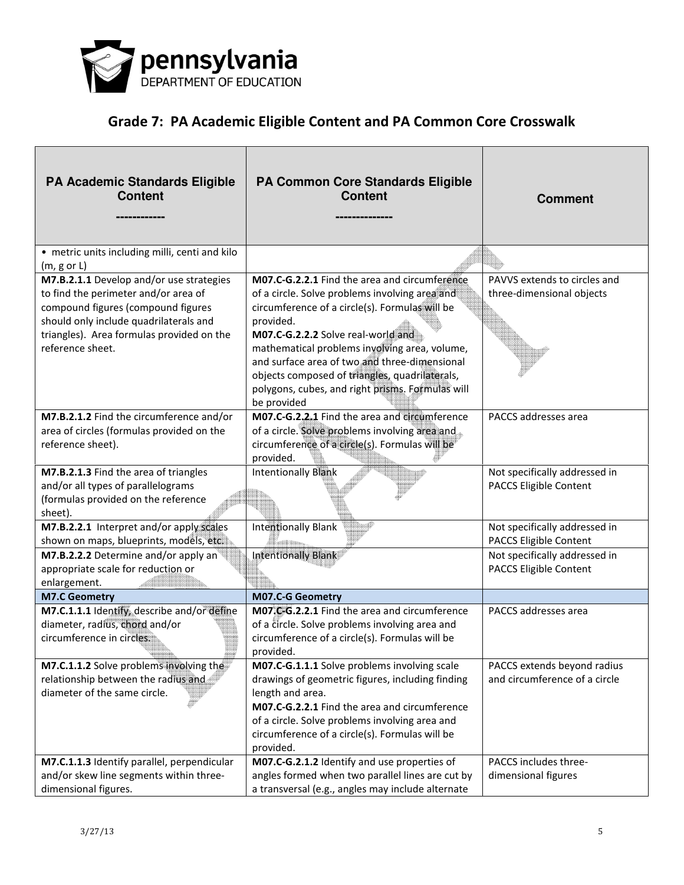

| <b>PA Academic Standards Eligible</b><br><b>Content</b>                                                                                                                                                                           | PA Common Core Standards Eligible<br><b>Content</b>                                                                                                                                                                                                                                                                                                                                                                         | <b>Comment</b>                                               |
|-----------------------------------------------------------------------------------------------------------------------------------------------------------------------------------------------------------------------------------|-----------------------------------------------------------------------------------------------------------------------------------------------------------------------------------------------------------------------------------------------------------------------------------------------------------------------------------------------------------------------------------------------------------------------------|--------------------------------------------------------------|
| • metric units including milli, centi and kilo<br>$(m, g \text{ or } L)$                                                                                                                                                          |                                                                                                                                                                                                                                                                                                                                                                                                                             |                                                              |
| M7.B.2.1.1 Develop and/or use strategies<br>to find the perimeter and/or area of<br>compound figures (compound figures<br>should only include quadrilaterals and<br>triangles). Area formulas provided on the<br>reference sheet. | M07.C-G.2.2.1 Find the area and circumference<br>of a circle. Solve problems involving area and<br>circumference of a circle(s). Formulas will be<br>provided.<br>M07.C-G.2.2.2 Solve real-world and<br>mathematical problems involving area, volume,<br>and surface area of two and three-dimensional<br>objects composed of triangles, quadrilaterals,<br>polygons, cubes, and right prisms. Formulas will<br>be provided | PAVVS extends to circles and<br>three-dimensional objects    |
| M7.B.2.1.2 Find the circumference and/or<br>area of circles (formulas provided on the<br>reference sheet).                                                                                                                        | M07.C-G.2.2.1 Find the area and circumference<br>of a circle. Solve problems involving area and<br>circumference of a circle(s). Formulas will be<br>provided.                                                                                                                                                                                                                                                              | PACCS addresses area                                         |
| M7.B.2.1.3 Find the area of triangles<br>and/or all types of parallelograms<br>(formulas provided on the reference<br>sheet).                                                                                                     | <b>Intentionally Blank</b>                                                                                                                                                                                                                                                                                                                                                                                                  | Not specifically addressed in<br>PACCS Eligible Content      |
| M7.B.2.2.1 Interpret and/or apply scales<br>shown on maps, blueprints, models, etc.                                                                                                                                               | <b>Intentionally Blank</b>                                                                                                                                                                                                                                                                                                                                                                                                  | Not specifically addressed in<br>PACCS Eligible Content      |
| M7.B.2.2.2 Determine and/or apply an<br>appropriate scale for reduction or<br>enlargement.                                                                                                                                        | Intentionally Blank                                                                                                                                                                                                                                                                                                                                                                                                         | Not specifically addressed in<br>PACCS Eligible Content      |
| <b>M7.C Geometry</b>                                                                                                                                                                                                              | M07.C-G Geometry                                                                                                                                                                                                                                                                                                                                                                                                            |                                                              |
| M7.C.1.1.1 Identify, describe and/or define<br>diameter, radius, chord and/or<br>circumference in circles.                                                                                                                        | M07.C-G.2.2.1 Find the area and circumference<br>of a circle. Solve problems involving area and<br>circumference of a circle(s). Formulas will be<br>provided.                                                                                                                                                                                                                                                              | PACCS addresses area                                         |
| M7.C.1.1.2 Solve problems involving the<br>relationship between the radius and<br>diameter of the same circle.                                                                                                                    | M07.C-G.1.1.1 Solve problems involving scale<br>drawings of geometric figures, including finding<br>length and area.<br>M07.C-G.2.2.1 Find the area and circumference<br>of a circle. Solve problems involving area and<br>circumference of a circle(s). Formulas will be<br>provided.                                                                                                                                      | PACCS extends beyond radius<br>and circumference of a circle |
| M7.C.1.1.3 Identify parallel, perpendicular<br>and/or skew line segments within three-<br>dimensional figures.                                                                                                                    | M07.C-G.2.1.2 Identify and use properties of<br>angles formed when two parallel lines are cut by<br>a transversal (e.g., angles may include alternate                                                                                                                                                                                                                                                                       | PACCS includes three-<br>dimensional figures                 |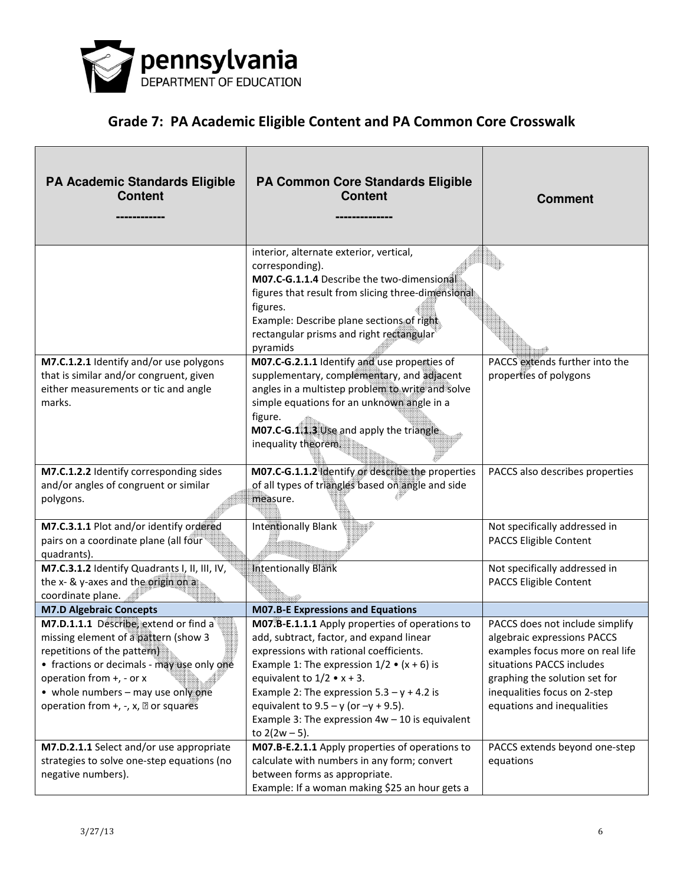

| <b>PA Academic Standards Eligible</b><br><b>Content</b>                                                                                                                                                                                                                                  | PA Common Core Standards Eligible<br><b>Content</b>                                                                                                                                                                                                                                                                                                                                                   | <b>Comment</b>                                                                                                                                                                                                                 |
|------------------------------------------------------------------------------------------------------------------------------------------------------------------------------------------------------------------------------------------------------------------------------------------|-------------------------------------------------------------------------------------------------------------------------------------------------------------------------------------------------------------------------------------------------------------------------------------------------------------------------------------------------------------------------------------------------------|--------------------------------------------------------------------------------------------------------------------------------------------------------------------------------------------------------------------------------|
|                                                                                                                                                                                                                                                                                          | interior, alternate exterior, vertical,<br>corresponding).<br>M07.C-G.1.1.4 Describe the two-dimensional<br>figures that result from slicing three-dimensional<br>figures.<br>Example: Describe plane sections of right.<br>rectangular prisms and right rectangular<br>pyramids                                                                                                                      |                                                                                                                                                                                                                                |
| M7.C.1.2.1 Identify and/or use polygons<br>that is similar and/or congruent, given<br>either measurements or tic and angle<br>marks.                                                                                                                                                     | M07.C-G.2.1.1 Identify and use properties of<br>supplementary, complementary, and adjacent<br>angles in a multistep problem to write and solve<br>simple equations for an unknown angle in a<br>figure.<br>M07.C-G.1.1.3 Use and apply the triangle<br>inequality theorem.                                                                                                                            | PACCS extends further into the<br>properties of polygons                                                                                                                                                                       |
| M7.C.1.2.2 Identify corresponding sides<br>and/or angles of congruent or similar<br>polygons.                                                                                                                                                                                            | M07.C-G.1.1.2 Identify or describe the properties<br>of all types of triangles based on angle and side<br>measure.                                                                                                                                                                                                                                                                                    | PACCS also describes properties                                                                                                                                                                                                |
| M7.C.3.1.1 Plot and/or identify ordered<br>pairs on a coordinate plane (all four<br>quadrants).                                                                                                                                                                                          | <b>Intentionally Blank</b>                                                                                                                                                                                                                                                                                                                                                                            | Not specifically addressed in<br>PACCS Eligible Content                                                                                                                                                                        |
| M7.C.3.1.2 Identify Quadrants I, II, III, IV,<br>the x- & y-axes and the origin on a<br>coordinate plane.                                                                                                                                                                                | <b>Intentionally Blank</b>                                                                                                                                                                                                                                                                                                                                                                            | Not specifically addressed in<br><b>PACCS Eligible Content</b>                                                                                                                                                                 |
| <b>M7.D Algebraic Concepts</b>                                                                                                                                                                                                                                                           | <b>M07.B-E Expressions and Equations</b>                                                                                                                                                                                                                                                                                                                                                              |                                                                                                                                                                                                                                |
| M7.D.1.1.1 Describe, extend or find a<br>missing element of a pattern (show 3<br>repetitions of the pattern)<br>• fractions or decimals - may use only one<br>operation from +, - or x<br>• whole numbers - may use only one<br>operation from $+$ , $-$ , $x$ , $\mathbb{Z}$ or squares | M07.B-E.1.1.1 Apply properties of operations to<br>add, subtract, factor, and expand linear<br>expressions with rational coefficients.<br>Example 1: The expression $1/2 \cdot (x + 6)$ is<br>equivalent to $1/2 \cdot x + 3$ .<br>Example 2: The expression $5.3 - y + 4.2$ is<br>equivalent to $9.5 - y$ (or $-y + 9.5$ ).<br>Example 3: The expression $4w - 10$ is equivalent<br>to $2(2w - 5)$ . | PACCS does not include simplify<br>algebraic expressions PACCS<br>examples focus more on real life<br>situations PACCS includes<br>graphing the solution set for<br>inequalities focus on 2-step<br>equations and inequalities |
| M7.D.2.1.1 Select and/or use appropriate<br>strategies to solve one-step equations (no<br>negative numbers).                                                                                                                                                                             | M07.B-E.2.1.1 Apply properties of operations to<br>calculate with numbers in any form; convert<br>between forms as appropriate.<br>Example: If a woman making \$25 an hour gets a                                                                                                                                                                                                                     | PACCS extends beyond one-step<br>equations                                                                                                                                                                                     |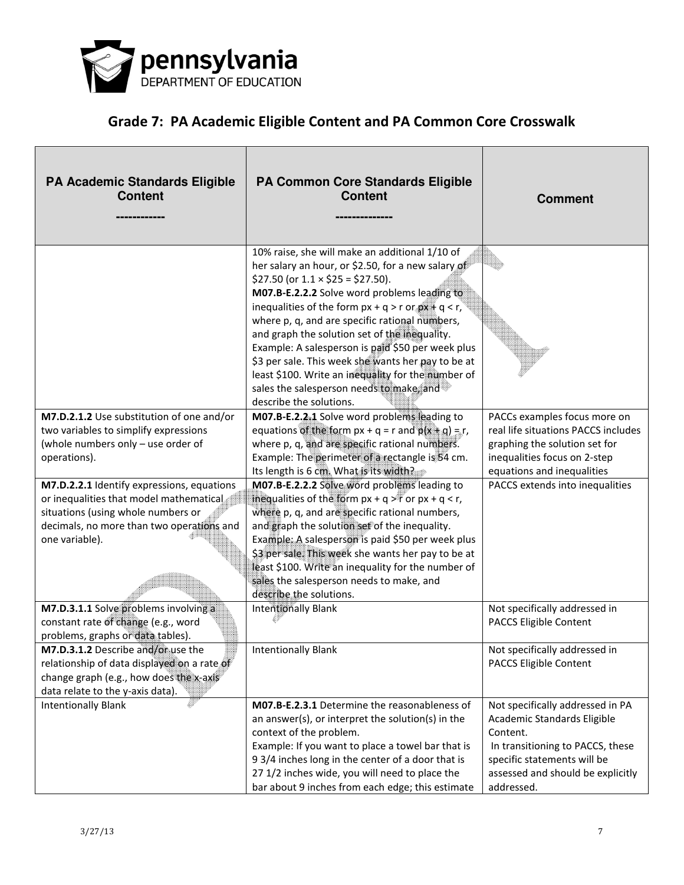

| <b>PA Academic Standards Eligible</b><br><b>Content</b>                                                                                                                                    | <b>PA Common Core Standards Eligible</b><br><b>Content</b>                                                                                                                                                                                                                                                                                                                                                                                                                                                                                                                                              | <b>Comment</b>                                                                                                                                                                                    |
|--------------------------------------------------------------------------------------------------------------------------------------------------------------------------------------------|---------------------------------------------------------------------------------------------------------------------------------------------------------------------------------------------------------------------------------------------------------------------------------------------------------------------------------------------------------------------------------------------------------------------------------------------------------------------------------------------------------------------------------------------------------------------------------------------------------|---------------------------------------------------------------------------------------------------------------------------------------------------------------------------------------------------|
|                                                                                                                                                                                            | 10% raise, she will make an additional 1/10 of<br>her salary an hour, or \$2.50, for a new salary of<br>\$27.50 (or $1.1 \times$ \$25 = \$27.50).<br>M07.B-E.2.2.2 Solve word problems leading to<br>inequalities of the form $px + q > r$ or $px + q < r$ ,<br>where p, q, and are specific rational numbers,<br>and graph the solution set of the inequality.<br>Example: A salesperson is paid \$50 per week plus<br>\$3 per sale. This week she wants her pay to be at<br>least \$100. Write an inequality for the number of<br>sales the salesperson needs to make, and<br>describe the solutions. |                                                                                                                                                                                                   |
| M7.D.2.1.2 Use substitution of one and/or<br>two variables to simplify expressions<br>(whole numbers only - use order of<br>operations).                                                   | M07.B-E.2.2.1 Solve word problems leading to<br>equations of the form $px + q = r$ and $p(x + q) = r$ ,<br>where p, q, and are specific rational numbers.<br>Example: The perimeter of a rectangle is 54 cm.<br>Its length is 6 cm. What is its width?                                                                                                                                                                                                                                                                                                                                                  | PACCs examples focus more on<br>real life situations PACCS includes<br>graphing the solution set for<br>inequalities focus on 2-step<br>equations and inequalities                                |
| M7.D.2.2.1 Identify expressions, equations<br>or inequalities that model mathematical<br>situations (using whole numbers or<br>decimals, no more than two operations and<br>one variable). | M07.B-E.2.2.2 Solve word problems leading to<br>inequalities of the form $px + q > r$ or $px + q < r$ ,<br>where p, q, and are specific rational numbers,<br>and graph the solution set of the inequality.<br>Example: A salesperson is paid \$50 per week plus<br>\$3 per sale. This week she wants her pay to be at<br>least \$100. Write an inequality for the number of<br>sales the salesperson needs to make, and<br>describe the solutions.                                                                                                                                                      | PACCS extends into inequalities                                                                                                                                                                   |
| M7.D.3.1.1 Solve problems involving a<br>constant rate of change (e.g., word<br>problems, graphs or data tables).                                                                          | <b>Intentionally Blank</b>                                                                                                                                                                                                                                                                                                                                                                                                                                                                                                                                                                              | Not specifically addressed in<br>PACCS Eligible Content                                                                                                                                           |
| <b>M7.D.3.1.2</b> Describe and/or use the<br>relationship of data displayed on a rate of<br>change graph (e.g., how does the x-axis<br>data relate to the y-axis data).                    | Intentionally Blank                                                                                                                                                                                                                                                                                                                                                                                                                                                                                                                                                                                     | Not specifically addressed in<br>PACCS Eligible Content                                                                                                                                           |
| <b>Intentionally Blank</b>                                                                                                                                                                 | M07.B-E.2.3.1 Determine the reasonableness of<br>an answer(s), or interpret the solution(s) in the<br>context of the problem.<br>Example: If you want to place a towel bar that is<br>9 3/4 inches long in the center of a door that is<br>27 1/2 inches wide, you will need to place the<br>bar about 9 inches from each edge; this estimate                                                                                                                                                                                                                                                           | Not specifically addressed in PA<br>Academic Standards Eligible<br>Content.<br>In transitioning to PACCS, these<br>specific statements will be<br>assessed and should be explicitly<br>addressed. |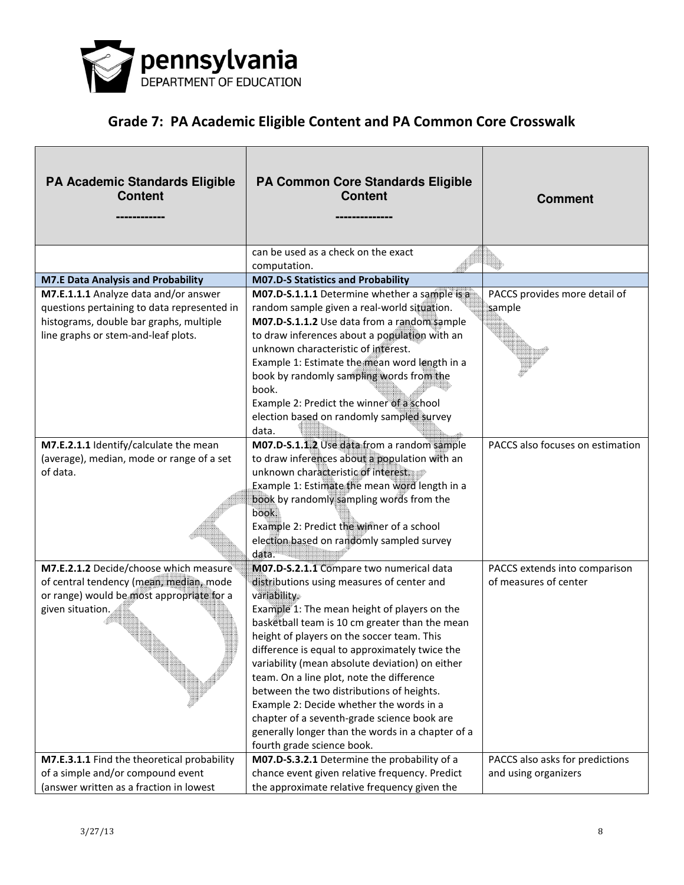

| <b>PA Academic Standards Eligible</b><br><b>Content</b> | <b>PA Common Core Standards Eligible</b><br><b>Content</b>                                   | <b>Comment</b>                   |
|---------------------------------------------------------|----------------------------------------------------------------------------------------------|----------------------------------|
|                                                         | can be used as a check on the exact                                                          |                                  |
| <b>M7.E Data Analysis and Probability</b>               | computation.<br><b>M07.D-S Statistics and Probability</b>                                    |                                  |
| M7.E.1.1.1 Analyze data and/or answer                   | M07.D-S.1.1.1 Determine whether a sample is a                                                | PACCS provides more detail of    |
| questions pertaining to data represented in             | random sample given a real-world situation.                                                  | sample                           |
| histograms, double bar graphs, multiple                 | M07.D-S.1.1.2 Use data from a random sample                                                  |                                  |
| line graphs or stem-and-leaf plots.                     | to draw inferences about a population with an                                                |                                  |
|                                                         | unknown characteristic of interest.                                                          |                                  |
|                                                         | Example 1: Estimate the mean word length in a                                                |                                  |
|                                                         | book by randomly sampling words from the                                                     |                                  |
|                                                         | book.                                                                                        |                                  |
|                                                         | Example 2: Predict the winner of a school                                                    |                                  |
|                                                         | election based on randomly sampled survey                                                    |                                  |
|                                                         | data.                                                                                        |                                  |
| M7.E.2.1.1 Identify/calculate the mean                  | M07.D-S.1.1.2 Use data from a random sample                                                  | PACCS also focuses on estimation |
| (average), median, mode or range of a set               | to draw inferences about a population with an                                                |                                  |
| of data.                                                | unknown characteristic of interest.                                                          |                                  |
|                                                         | Example 1: Estimate the mean word length in a                                                |                                  |
|                                                         | book by randomly sampling words from the                                                     |                                  |
|                                                         | book.                                                                                        |                                  |
|                                                         | Example 2: Predict the winner of a school                                                    |                                  |
|                                                         | election based on randomly sampled survey                                                    |                                  |
|                                                         | data.                                                                                        |                                  |
| M7.E.2.1.2 Decide/choose which measure                  | M07.D-S.2.1.1 Compare two numerical data                                                     | PACCS extends into comparison    |
| of central tendency (mean, median, mode                 | distributions using measures of center and                                                   | of measures of center            |
| or range) would be most appropriate for a               | variability.                                                                                 |                                  |
| given situation.                                        | Example 1: The mean height of players on the                                                 |                                  |
|                                                         | basketball team is 10 cm greater than the mean                                               |                                  |
|                                                         | height of players on the soccer team. This                                                   |                                  |
|                                                         | difference is equal to approximately twice the                                               |                                  |
|                                                         | variability (mean absolute deviation) on either<br>team. On a line plot, note the difference |                                  |
|                                                         | between the two distributions of heights.                                                    |                                  |
|                                                         | Example 2: Decide whether the words in a                                                     |                                  |
|                                                         | chapter of a seventh-grade science book are                                                  |                                  |
|                                                         | generally longer than the words in a chapter of a                                            |                                  |
|                                                         | fourth grade science book.                                                                   |                                  |
| M7.E.3.1.1 Find the theoretical probability             | M07.D-S.3.2.1 Determine the probability of a                                                 | PACCS also asks for predictions  |
| of a simple and/or compound event                       | chance event given relative frequency. Predict                                               | and using organizers             |
| (answer written as a fraction in lowest                 | the approximate relative frequency given the                                                 |                                  |